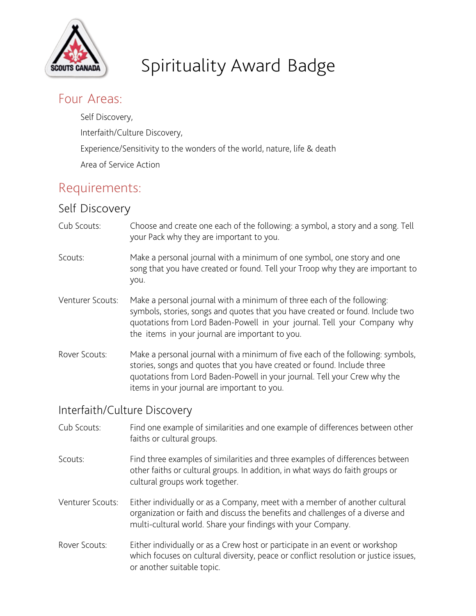

# Spirituality Award Badge

## Four Areas:

Self Discovery, Interfaith/Culture Discovery, Experience/Sensitivity to the wonders of the world, nature, life & death Area of Service Action

## Requirements:

## Self Discovery

- Cub Scouts: Choose and create one each of the following: a symbol, a story and a song. Tell your Pack why they are important to you.
- Scouts: Make a personal journal with a minimum of one symbol, one story and one song that you have created or found. Tell your Troop why they are important to you.
- Venturer Scouts: Make a personal journal with a minimum of three each of the following: symbols, stories, songs and quotes that you have created or found. Include two quotations from Lord Baden-Powell in your journal. Tell your Company why the items in your journal are important to you.
- Rover Scouts: Make a personal journal with a minimum of five each of the following: symbols, stories, songs and quotes that you have created or found. Include three quotations from Lord Baden-Powell in your journal. Tell your Crew why the items in your journal are important to you.

### Interfaith/Culture Discovery

- Cub Scouts: Find one example of similarities and one example of differences between other faiths or cultural groups.
- Scouts: Find three examples of similarities and three examples of differences between other faiths or cultural groups. In addition, in what ways do faith groups or cultural groups work together.
- Venturer Scouts: Either individually or as a Company, meet with a member of another cultural organization or faith and discuss the benefits and challenges of a diverse and multi-cultural world. Share your findings with your Company.
- Rover Scouts: Either individually or as a Crew host or participate in an event or workshop which focuses on cultural diversity, peace or conflict resolution or justice issues, or another suitable topic.